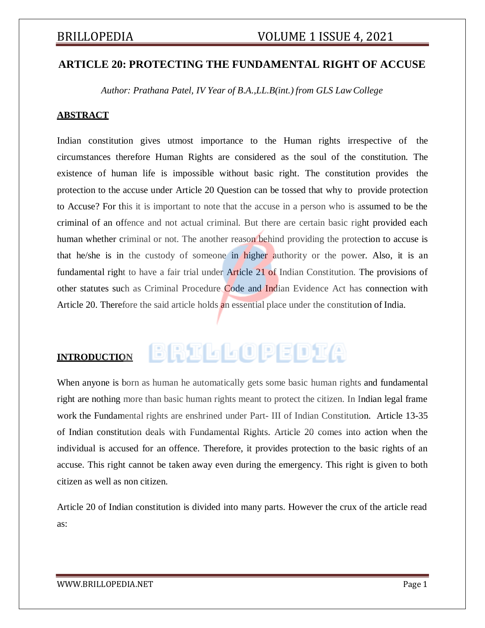# **ARTICLE 20: PROTECTING THE FUNDAMENTAL RIGHT OF ACCUSE**

*Author: Prathana Patel, IV Year of B.A.,LL.B(int.) from GLS LawCollege*

### **ABSTRACT**

Indian constitution gives utmost importance to the Human rights irrespective of the circumstances therefore Human Rights are considered as the soul of the constitution. The existence of human life is impossible without basic right. The constitution provides the protection to the accuse under Article 20 Question can be tossed that why to provide protection to Accuse? For this it is important to note that the accuse in a person who is assumed to be the criminal of an offence and not actual criminal. But there are certain basic right provided each human whether criminal or not. The another reason behind providing the protection to accuse is that he/she is in the custody of someone in higher authority or the power. Also, it is an fundamental right to have a fair trial under Article 21 of Indian Constitution. The provisions of other statutes such as Criminal Procedure Code and Indian Evidence Act has connection with Article 20. Therefore the said article holds an essential place under the constitution of India.

# **INTRODUCTION**

# BRILLOPEDIA

When anyone is born as human he automatically gets some basic human rights and fundamental right are nothing more than basic human rights meant to protect the citizen. In Indian legal frame work the Fundamental rights are enshrined under Part- III of Indian Constitution. Article 13-35 of Indian constitution deals with Fundamental Rights. Article 20 comes into action when the individual is accused for an offence. Therefore, it provides protection to the basic rights of an accuse. This right cannot be taken away even during the emergency. This right is given to both citizen as well as non citizen.

Article 20 of Indian constitution is divided into many parts. However the crux of the article read as: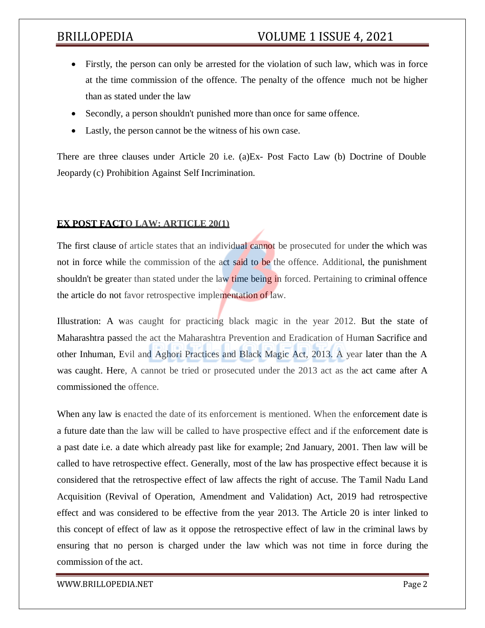# BRILLOPEDIA VOLUME 1 ISSUE 4, 2021

- Firstly, the person can only be arrested for the violation of such law, which was in force at the time commission of the offence. The penalty of the offence much not be higher than as stated under the law
- Secondly, a person shouldn't punished more than once for same offence.
- Lastly, the person cannot be the witness of his own case.

There are three clauses under Article 20 i.e. (a)Ex- Post Facto Law (b) Doctrine of Double Jeopardy (c) Prohibition Against Self Incrimination.

### **EX POST FACTO LAW: ARTICLE 20(1)**

The first clause of article states that an individual cannot be prosecuted for under the which was not in force while the commission of the act said to be the offence. Additional, the punishment shouldn't be greater than stated under the law time being in forced. Pertaining to criminal offence the article do not favor retrospective implementation of law.

Illustration: A was caught for practicing black magic in the year 2012. But the state of Maharashtra passed the act the Maharashtra Prevention and Eradication of Human Sacrifice and other Inhuman, Evil and Aghori Practices and Black Magic Act, 2013. A year later than the A was caught. Here, A cannot be tried or prosecuted under the 2013 act as the act came after A commissioned the offence.

When any law is enacted the date of its enforcement is mentioned. When the enforcement date is a future date than the law will be called to have prospective effect and if the enforcement date is a past date i.e. a date which already past like for example; 2nd January, 2001. Then law will be called to have retrospective effect. Generally, most of the law has prospective effect because it is considered that the retrospective effect of law affects the right of accuse. The Tamil Nadu Land Acquisition (Revival of Operation, Amendment and Validation) Act, 2019 had retrospective effect and was considered to be effective from the year 2013. The Article 20 is inter linked to this concept of effect of law as it oppose the retrospective effect of law in the criminal laws by ensuring that no person is charged under the law which was not time in force during the commission of the act.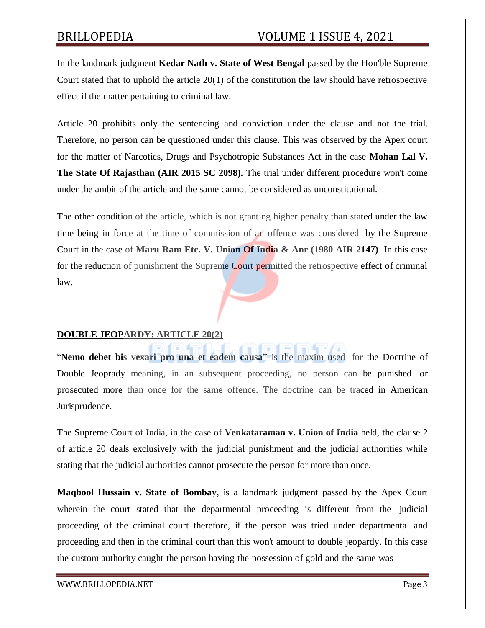# BRILLOPEDIA VOLUME 1 ISSUE 4, 2021

In the landmark judgment **Kedar Nath v. State of West Bengal** passed by the Hon'ble Supreme Court stated that to uphold the article 20(1) of the constitution the law should have retrospective effect if the matter pertaining to criminal law.

Article 20 prohibits only the sentencing and conviction under the clause and not the trial. Therefore, no person can be questioned under this clause. This was observed by the Apex court for the matter of Narcotics, Drugs and Psychotropic Substances Act in the case **Mohan Lal V. The State Of Rajasthan (AIR 2015 SC 2098).** The trial under different procedure won't come under the ambit of the article and the same cannot be considered as unconstitutional.

The other condition of the article, which is not granting higher penalty than stated under the law time being in force at the time of commission of an offence was considered by the Supreme Court in the case of **Maru Ram Etc. V. Union Of India & Anr (1980 AIR 2147)**. In this case for the reduction of punishment the Supreme Court permitted the retrospective effect of criminal law.

## **DOUBLE JEOPARDY: ARTICLE 20(2)**

"**Nemo debet bis vexari pro una et eadem causa**" is the maxim used for the Doctrine of Double Jeoprady meaning, in an subsequent proceeding, no person can be punished or prosecuted more than once for the same offence. The doctrine can be traced in American Jurisprudence.

The Supreme Court of India, in the case of **Venkataraman v. Union of India** held, the clause 2 of article 20 deals exclusively with the judicial punishment and the judicial authorities while stating that the judicial authorities cannot prosecute the person for more than once.

**Maqbool Hussain v. State of Bombay**, is a landmark judgment passed by the Apex Court wherein the court stated that the departmental proceeding is different from the judicial proceeding of the criminal court therefore, if the person was tried under departmental and proceeding and then in the criminal court than this won't amount to double jeopardy. In this case the custom authority caught the person having the possession of gold and the same was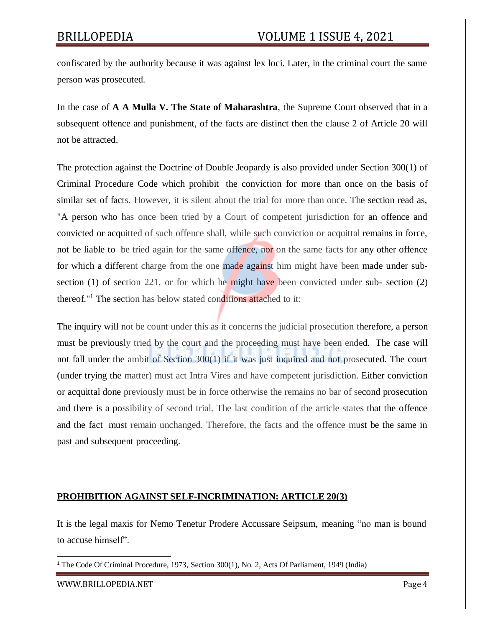confiscated by the authority because it was against lex loci. Later, in the criminal court the same person was prosecuted.

In the case of **A A Mulla V. The State of Maharashtra**, the Supreme Court observed that in a subsequent offence and punishment, of the facts are distinct then the clause 2 of Article 20 will not be attracted.

The protection against the Doctrine of Double Jeopardy is also provided under Section 300(1) of Criminal Procedure Code which prohibit the conviction for more than once on the basis of similar set of facts. However, it is silent about the trial for more than once. The section read as, "A person who has once been tried by a Court of competent jurisdiction for an offence and convicted or acquitted of such offence shall, while such conviction or acquittal remains in force, not be liable to be tried again for the same offence, nor on the same facts for any other offence for which a different charge from the one made against him might have been made under subsection (1) of section 221, or for which he might have been convicted under sub- section (2) thereof."<sup>1</sup> The section has below stated conditions attached to it:

The inquiry will not be count under this as it concerns the judicial prosecution therefore, a person must be previously tried by the court and the proceeding must have been ended. The case will not fall under the ambit of Section 300(1) if it was just inquired and not prosecuted. The court (under trying the matter) must act Intra Vires and have competent jurisdiction. Either conviction or acquittal done previously must be in force otherwise the remains no bar of second prosecution and there is a possibility of second trial. The last condition of the article states that the offence and the fact must remain unchanged. Therefore, the facts and the offence must be the same in past and subsequent proceeding.

### **PROHIBITION AGAINST SELF-INCRIMINATION: ARTICLE 20(3)**

It is the legal maxis for Nemo Tenetur Prodere Accussare Seipsum, meaning "no man is bound to accuse himself".

<sup>1</sup> The Code Of Criminal Procedure, 1973, Section 300(1), No. 2, Acts Of Parliament, 1949 (India)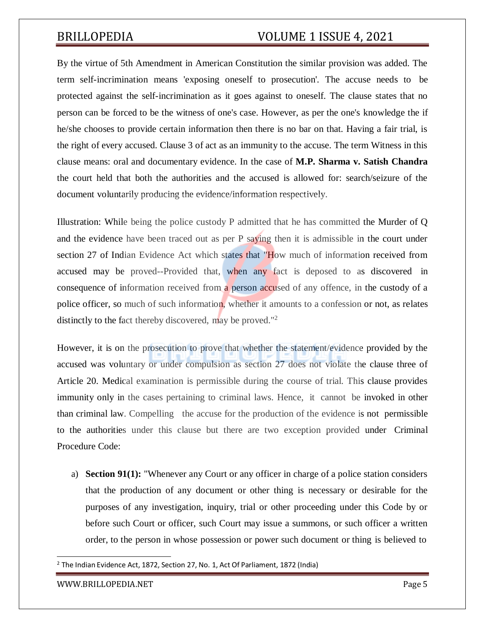# BRILLOPEDIA VOLUME 1 ISSUE 4, 2021

By the virtue of 5th Amendment in American Constitution the similar provision was added. The term self-incrimination means 'exposing oneself to prosecution'. The accuse needs to be protected against the self-incrimination as it goes against to oneself. The clause states that no person can be forced to be the witness of one's case. However, as per the one's knowledge the if he/she chooses to provide certain information then there is no bar on that. Having a fair trial, is the right of every accused. Clause 3 of act as an immunity to the accuse. The term Witness in this clause means: oral and documentary evidence. In the case of **M.P. Sharma v. Satish Chandra** the court held that both the authorities and the accused is allowed for: search/seizure of the document voluntarily producing the evidence/information respectively.

Illustration: While being the police custody P admitted that he has committed the Murder of Q and the evidence have been traced out as per P saying then it is admissible in the court under section 27 of Indian Evidence Act which states that "How much of information received from accused may be proved--Provided that, when any fact is deposed to as discovered in consequence of information received from a person accused of any offence, in the custody of a police officer, so much of such information, whether it amounts to a confession or not, as relates distinctly to the fact thereby discovered, may be proved."<sup>2</sup>

However, it is on the prosecution to prove that whether the statement/evidence provided by the accused was voluntary or under compulsion as section 27 does not violate the clause three of Article 20. Medical examination is permissible during the course of trial. This clause provides immunity only in the cases pertaining to criminal laws. Hence, it cannot be invoked in other than criminal law. Compelling the accuse for the production of the evidence is not permissible to the authorities under this clause but there are two exception provided under Criminal Procedure Code:

a) **Section 91(1):** "Whenever any Court or any officer in charge of a police station considers that the production of any document or other thing is necessary or desirable for the purposes of any investigation, inquiry, trial or other proceeding under this Code by or before such Court or officer, such Court may issue a summons, or such officer a written order, to the person in whose possession or power such document or thing is believed to

<sup>&</sup>lt;sup>2</sup> The Indian Evidence Act, 1872, Section 27, No. 1, Act Of Parliament, 1872 (India)